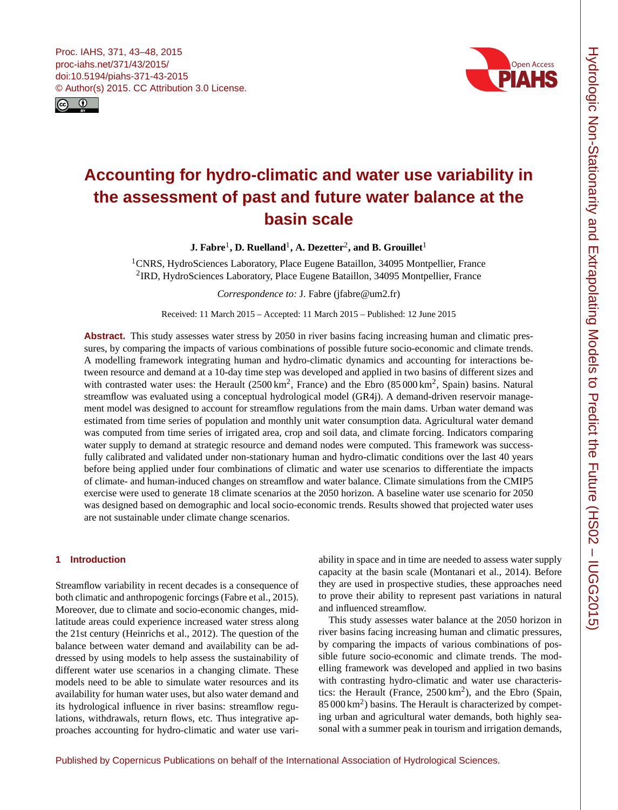<span id="page-0-1"></span>



# **Accounting for hydro-climatic and water use variability in the assessment of past and future water balance at the basin scale**

 ${\bf J.}$  Fabre<sup>[1](#page-0-0)</sup>, D. Ruelland<sup>1</sup>, A. Dezetter<sup>[2](#page-0-0)</sup>, and B. Grouillet<sup>1</sup>

<sup>1</sup>CNRS, HydroSciences Laboratory, Place Eugene Bataillon, 34095 Montpellier, France <sup>2</sup>IRD, HydroSciences Laboratory, Place Eugene Bataillon, 34095 Montpellier, France

*Correspondence to:* J. Fabre (jfabre@um2.fr)

Received: 11 March 2015 – Accepted: 11 March 2015 – Published: 12 June 2015

**Abstract.** This study assesses water stress by 2050 in river basins facing increasing human and climatic pressures, by comparing the impacts of various combinations of possible future socio-economic and climate trends. A modelling framework integrating human and hydro-climatic dynamics and accounting for interactions between resource and demand at a 10-day time step was developed and applied in two basins of different sizes and with contrasted water uses: the Herault  $(2500 \text{ km}^2, \text{France})$  and the Ebro  $(85000 \text{ km}^2, \text{ Spain})$  basins. Natural streamflow was evaluated using a conceptual hydrological model (GR4j). A demand-driven reservoir management model was designed to account for streamflow regulations from the main dams. Urban water demand was estimated from time series of population and monthly unit water consumption data. Agricultural water demand was computed from time series of irrigated area, crop and soil data, and climate forcing. Indicators comparing water supply to demand at strategic resource and demand nodes were computed. This framework was successfully calibrated and validated under non-stationary human and hydro-climatic conditions over the last 40 years before being applied under four combinations of climatic and water use scenarios to differentiate the impacts of climate- and human-induced changes on streamflow and water balance. Climate simulations from the CMIP5 exercise were used to generate 18 climate scenarios at the 2050 horizon. A baseline water use scenario for 2050 was designed based on demographic and local socio-economic trends. Results showed that projected water uses are not sustainable under climate change scenarios.

## <span id="page-0-0"></span>**1 Introduction**

Streamflow variability in recent decades is a consequence of both climatic and anthropogenic forcings [\(Fabre et al.,](#page-5-0) [2015\)](#page-5-0). Moreover, due to climate and socio-economic changes, midlatitude areas could experience increased water stress along the 21st century [\(Heinrichs et al.,](#page-5-1) [2012\)](#page-5-1). The question of the balance between water demand and availability can be addressed by using models to help assess the sustainability of different water use scenarios in a changing climate. These models need to be able to simulate water resources and its availability for human water uses, but also water demand and its hydrological influence in river basins: streamflow regulations, withdrawals, return flows, etc. Thus integrative approaches accounting for hydro-climatic and water use variability in space and in time are needed to assess water supply capacity at the basin scale [\(Montanari et al.,](#page-5-2) [2014\)](#page-5-2). Before they are used in prospective studies, these approaches need to prove their ability to represent past variations in natural and influenced streamflow.

This study assesses water balance at the 2050 horizon in river basins facing increasing human and climatic pressures, by comparing the impacts of various combinations of possible future socio-economic and climate trends. The modelling framework was developed and applied in two basins with contrasting hydro-climatic and water use characteristics: the Herault (France, 2500 km<sup>2</sup>), and the Ebro (Spain, 85 000 km<sup>2</sup>) basins. The Herault is characterized by competing urban and agricultural water demands, both highly seasonal with a summer peak in tourism and irrigation demands,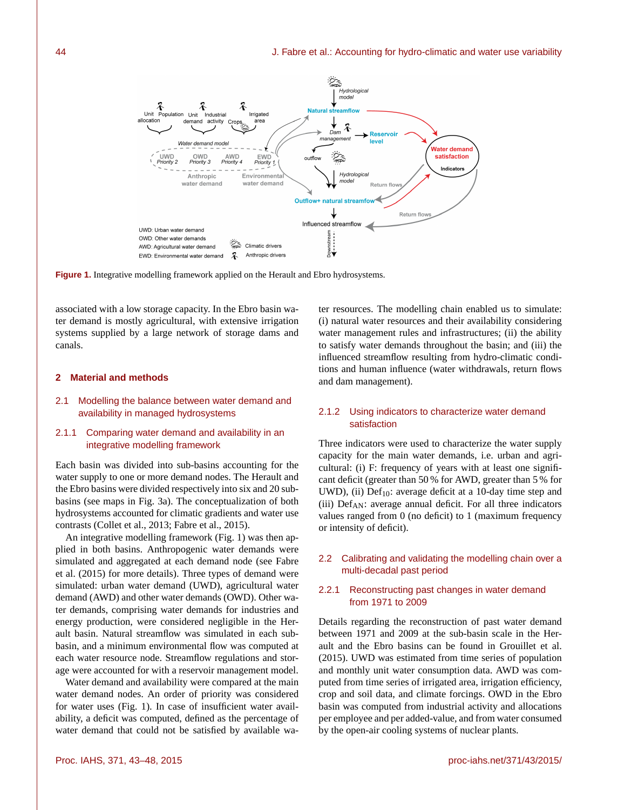

**Figure 1.** Integrative modelling framework applied on the Herault and Ebro hydrosystems.

associated with a low storage capacity. In the Ebro basin water demand is mostly agricultural, with extensive irrigation systems supplied by a large network of storage dams and canals.

#### **2 Material and methods**

2.1 Modelling the balance between water demand and availability in managed hydrosystems

## 2.1.1 Comparing water demand and availability in an integrative modelling framework

Each basin was divided into sub-basins accounting for the water supply to one or more demand nodes. The Herault and the Ebro basins were divided respectively into six and 20 subbasins (see maps in Fig. 3a). The conceptualization of both hydrosystems accounted for climatic gradients and water use contrasts [\(Collet et al.,](#page-5-3) [2013;](#page-5-3) [Fabre et al.,](#page-5-0) [2015\)](#page-5-0).

An integrative modelling framework (Fig. 1) was then applied in both basins. Anthropogenic water demands were simulated and aggregated at each demand node (see [Fabre](#page-5-0) [et al.](#page-5-0) [\(2015\)](#page-5-0) for more details). Three types of demand were simulated: urban water demand (UWD), agricultural water demand (AWD) and other water demands (OWD). Other water demands, comprising water demands for industries and energy production, were considered negligible in the Herault basin. Natural streamflow was simulated in each subbasin, and a minimum environmental flow was computed at each water resource node. Streamflow regulations and storage were accounted for with a reservoir management model.

Water demand and availability were compared at the main water demand nodes. An order of priority was considered for water uses (Fig. 1). In case of insufficient water availability, a deficit was computed, defined as the percentage of water demand that could not be satisfied by available water resources. The modelling chain enabled us to simulate: (i) natural water resources and their availability considering water management rules and infrastructures; (ii) the ability to satisfy water demands throughout the basin; and (iii) the influenced streamflow resulting from hydro-climatic conditions and human influence (water withdrawals, return flows and dam management).

# 2.1.2 Using indicators to characterize water demand satisfaction

Three indicators were used to characterize the water supply capacity for the main water demands, i.e. urban and agricultural: (i) F: frequency of years with at least one significant deficit (greater than 50 % for AWD, greater than 5 % for UWD), (ii)  $Def_{10}$ : average deficit at a 10-day time step and (iii)  $Def_{AN}$ : average annual deficit. For all three indicators values ranged from 0 (no deficit) to 1 (maximum frequency or intensity of deficit).

## 2.2 Calibrating and validating the modelling chain over a multi-decadal past period

## 2.2.1 Reconstructing past changes in water demand from 1971 to 2009

Details regarding the reconstruction of past water demand between 1971 and 2009 at the sub-basin scale in the Herault and the Ebro basins can be found in [Grouillet et al.](#page-5-4) [\(2015\)](#page-5-4). UWD was estimated from time series of population and monthly unit water consumption data. AWD was computed from time series of irrigated area, irrigation efficiency, crop and soil data, and climate forcings. OWD in the Ebro basin was computed from industrial activity and allocations per employee and per added-value, and from water consumed by the open-air cooling systems of nuclear plants.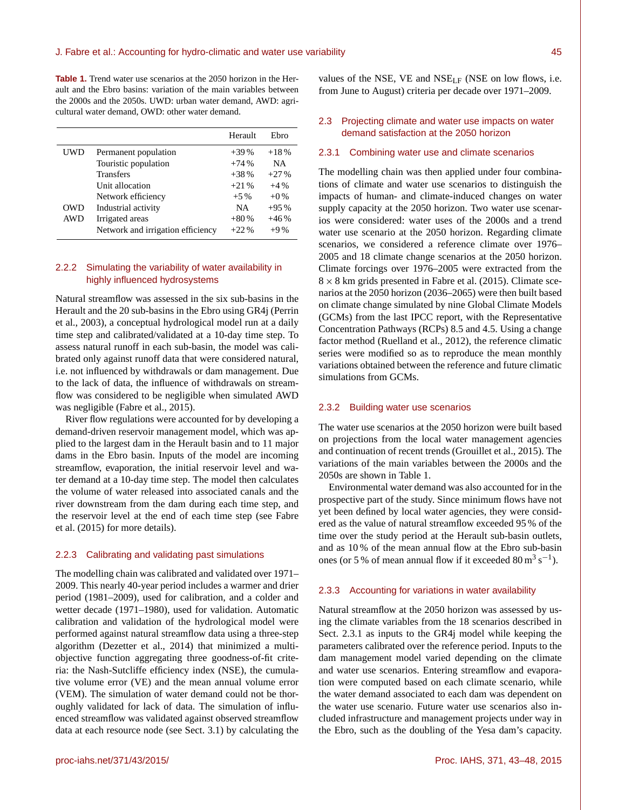**Table 1.** Trend water use scenarios at the 2050 horizon in the Herault and the Ebro basins: variation of the main variables between the 2000s and the 2050s. UWD: urban water demand, AWD: agricultural water demand, OWD: other water demand.

|            |                                   | Herault   | Ehro      |
|------------|-----------------------------------|-----------|-----------|
| UWD        | Permanent population              | $+39%$    | $+18%$    |
|            | Touristic population              | $+74%$    | <b>NA</b> |
|            | <b>Transfers</b>                  | $+38%$    | $+27%$    |
|            | Unit allocation                   | $+21%$    | $+4%$     |
|            | Network efficiency                | $+5\%$    | $+0\%$    |
| OWD        | Industrial activity               | <b>NA</b> | $+95%$    |
| <b>AWD</b> | Irrigated areas                   | $+80%$    | $+46%$    |
|            | Network and irrigation efficiency | $+22.96$  | $+9\%$    |

## 2.2.2 Simulating the variability of water availability in highly influenced hydrosystems

Natural streamflow was assessed in the six sub-basins in the Herault and the 20 sub-basins in the Ebro using GR4j [\(Perrin](#page-5-5) [et al.,](#page-5-5) [2003\)](#page-5-5), a conceptual hydrological model run at a daily time step and calibrated/validated at a 10-day time step. To assess natural runoff in each sub-basin, the model was calibrated only against runoff data that were considered natural, i.e. not influenced by withdrawals or dam management. Due to the lack of data, the influence of withdrawals on streamflow was considered to be negligible when simulated AWD was negligible [\(Fabre et al.,](#page-5-0) [2015\)](#page-5-0).

River flow regulations were accounted for by developing a demand-driven reservoir management model, which was applied to the largest dam in the Herault basin and to 11 major dams in the Ebro basin. Inputs of the model are incoming streamflow, evaporation, the initial reservoir level and water demand at a 10-day time step. The model then calculates the volume of water released into associated canals and the river downstream from the dam during each time step, and the reservoir level at the end of each time step (see [Fabre](#page-5-0) [et al.](#page-5-0) [\(2015\)](#page-5-0) for more details).

#### 2.2.3 Calibrating and validating past simulations

The modelling chain was calibrated and validated over 1971– 2009. This nearly 40-year period includes a warmer and drier period (1981–2009), used for calibration, and a colder and wetter decade (1971–1980), used for validation. Automatic calibration and validation of the hydrological model were performed against natural streamflow data using a three-step algorithm [\(Dezetter et al.,](#page-5-6) [2014\)](#page-5-6) that minimized a multiobjective function aggregating three goodness-of-fit criteria: the Nash-Sutcliffe efficiency index (NSE), the cumulative volume error (VE) and the mean annual volume error (VEM). The simulation of water demand could not be thoroughly validated for lack of data. The simulation of influenced streamflow was validated against observed streamflow data at each resource node (see Sect. 3.1) by calculating the values of the NSE, VE and NSELF (NSE on low flows, i.e. from June to August) criteria per decade over 1971–2009.

## 2.3 Projecting climate and water use impacts on water demand satisfaction at the 2050 horizon

#### 2.3.1 Combining water use and climate scenarios

The modelling chain was then applied under four combinations of climate and water use scenarios to distinguish the impacts of human- and climate-induced changes on water supply capacity at the 2050 horizon. Two water use scenarios were considered: water uses of the 2000s and a trend water use scenario at the 2050 horizon. Regarding climate scenarios, we considered a reference climate over 1976– 2005 and 18 climate change scenarios at the 2050 horizon. Climate forcings over 1976–2005 were extracted from the  $8 \times 8$  km grids presented in [Fabre et al.](#page-5-0) [\(2015\)](#page-5-0). Climate scenarios at the 2050 horizon (2036–2065) were then built based on climate change simulated by nine Global Climate Models (GCMs) from the last IPCC report, with the Representative Concentration Pathways (RCPs) 8.5 and 4.5. Using a change factor method [\(Ruelland et al.,](#page-5-7) [2012\)](#page-5-7), the reference climatic series were modified so as to reproduce the mean monthly variations obtained between the reference and future climatic simulations from GCMs.

#### 2.3.2 Building water use scenarios

The water use scenarios at the 2050 horizon were built based on projections from the local water management agencies and continuation of recent trends [\(Grouillet et al.,](#page-5-4) [2015\)](#page-5-4). The variations of the main variables between the 2000s and the 2050s are shown in Table 1.

Environmental water demand was also accounted for in the prospective part of the study. Since minimum flows have not yet been defined by local water agencies, they were considered as the value of natural streamflow exceeded 95 % of the time over the study period at the Herault sub-basin outlets, and as 10 % of the mean annual flow at the Ebro sub-basin ones (or 5 % of mean annual flow if it exceeded  $80 \text{ m}^3 \text{ s}^{-1}$ ).

#### 2.3.3 Accounting for variations in water availability

Natural streamflow at the 2050 horizon was assessed by using the climate variables from the 18 scenarios described in Sect. 2.3.1 as inputs to the GR4j model while keeping the parameters calibrated over the reference period. Inputs to the dam management model varied depending on the climate and water use scenarios. Entering streamflow and evaporation were computed based on each climate scenario, while the water demand associated to each dam was dependent on the water use scenario. Future water use scenarios also included infrastructure and management projects under way in the Ebro, such as the doubling of the Yesa dam's capacity.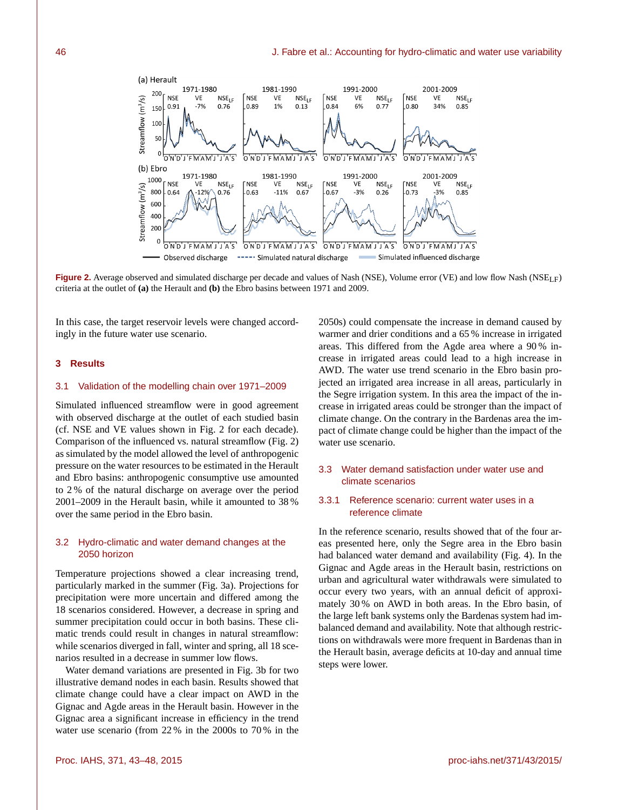

**Figure 2.** Average observed and simulated discharge per decade and values of Nash (NSE), Volume error (VE) and low flow Nash (NSE<sub>LF</sub>) criteria at the outlet of **(a)** the Herault and **(b)** the Ebro basins between 1971 and 2009.

In this case, the target reservoir levels were changed accordingly in the future water use scenario.

## **3 Results**

#### 3.1 Validation of the modelling chain over 1971–2009

Simulated influenced streamflow were in good agreement with observed discharge at the outlet of each studied basin (cf. NSE and VE values shown in Fig. 2 for each decade). Comparison of the influenced vs. natural streamflow (Fig. 2) as simulated by the model allowed the level of anthropogenic pressure on the water resources to be estimated in the Herault and Ebro basins: anthropogenic consumptive use amounted to 2 % of the natural discharge on average over the period 2001–2009 in the Herault basin, while it amounted to 38 % over the same period in the Ebro basin.

# 3.2 Hydro-climatic and water demand changes at the 2050 horizon

Temperature projections showed a clear increasing trend, particularly marked in the summer (Fig. 3a). Projections for precipitation were more uncertain and differed among the 18 scenarios considered. However, a decrease in spring and summer precipitation could occur in both basins. These climatic trends could result in changes in natural streamflow: while scenarios diverged in fall, winter and spring, all 18 scenarios resulted in a decrease in summer low flows.

Water demand variations are presented in Fig. 3b for two illustrative demand nodes in each basin. Results showed that climate change could have a clear impact on AWD in the Gignac and Agde areas in the Herault basin. However in the Gignac area a significant increase in efficiency in the trend water use scenario (from 22 % in the 2000s to 70 % in the

2050s) could compensate the increase in demand caused by warmer and drier conditions and a 65 % increase in irrigated areas. This differed from the Agde area where a 90 % increase in irrigated areas could lead to a high increase in AWD. The water use trend scenario in the Ebro basin projected an irrigated area increase in all areas, particularly in the Segre irrigation system. In this area the impact of the increase in irrigated areas could be stronger than the impact of climate change. On the contrary in the Bardenas area the impact of climate change could be higher than the impact of the water use scenario.

# 3.3 Water demand satisfaction under water use and climate scenarios

## 3.3.1 Reference scenario: current water uses in a reference climate

In the reference scenario, results showed that of the four areas presented here, only the Segre area in the Ebro basin had balanced water demand and availability (Fig. 4). In the Gignac and Agde areas in the Herault basin, restrictions on urban and agricultural water withdrawals were simulated to occur every two years, with an annual deficit of approximately 30 % on AWD in both areas. In the Ebro basin, of the large left bank systems only the Bardenas system had imbalanced demand and availability. Note that although restrictions on withdrawals were more frequent in Bardenas than in the Herault basin, average deficits at 10-day and annual time steps were lower.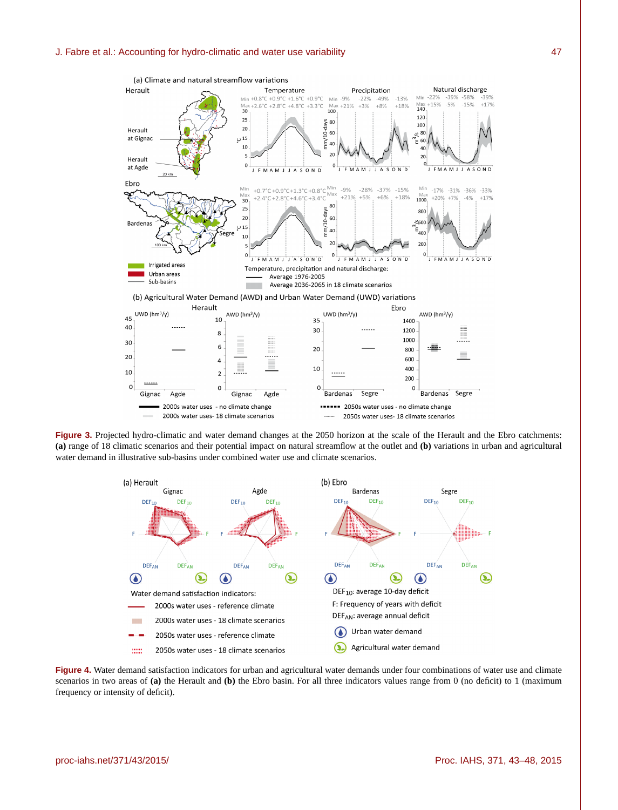

**Figure 3.** Projected hydro-climatic and water demand changes at the 2050 horizon at the scale of the Herault and the Ebro catchments: **(a)** range of 18 climatic scenarios and their potential impact on natural streamflow at the outlet and **(b)** variations in urban and agricultural water demand in illustrative sub-basins under combined water use and climate scenarios.



**Figure 4.** Water demand satisfaction indicators for urban and agricultural water demands under four combinations of water use and climate scenarios in two areas of **(a)** the Herault and **(b)** the Ebro basin. For all three indicators values range from 0 (no deficit) to 1 (maximum frequency or intensity of deficit).